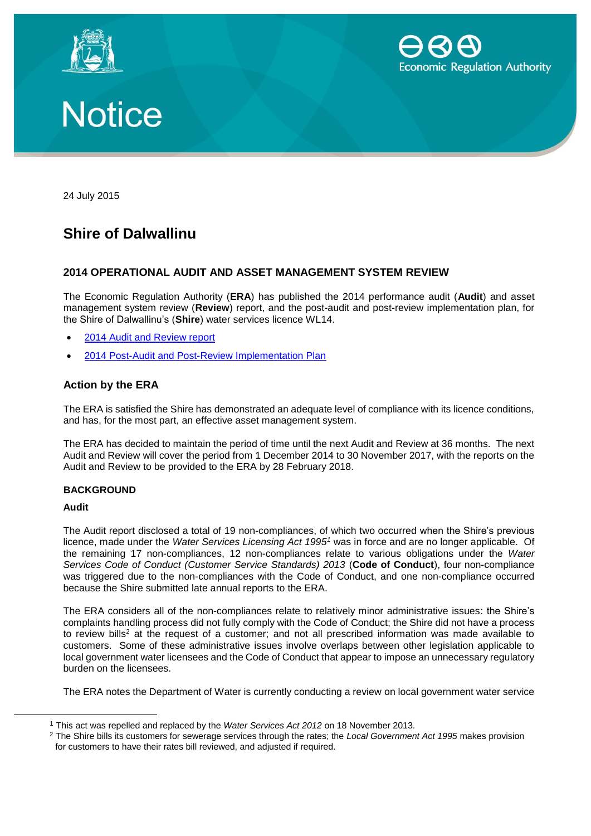





24 July 2015

# **Shire of Dalwallinu**

## **2014 OPERATIONAL AUDIT AND ASSET MANAGEMENT SYSTEM REVIEW**

The Economic Regulation Authority (**ERA**) has published the 2014 performance audit (**Audit**) and asset management system review (**Review**) report, and the post-audit and post-review implementation plan, for the Shire of Dalwallinu's (**Shire**) water services licence WL14.

- [2014 Audit and Review report](https://www.erawa.com.au/cproot/13778/2/Shire%20of%20Dalwallinu%20-%202014%20Audit%20and%20Review%20Report.pdf)
- [2014 Post-Audit and Post-Review Implementation Plan](https://www.erawa.com.au/cproot/13779/2/Shire%20of%20Dalwallinu%20-%20Post-audit%20post-review%20implementation%20plan.pdf)

### **Action by the ERA**

The ERA is satisfied the Shire has demonstrated an adequate level of compliance with its licence conditions, and has, for the most part, an effective asset management system.

The ERA has decided to maintain the period of time until the next Audit and Review at 36 months. The next Audit and Review will cover the period from 1 December 2014 to 30 November 2017, with the reports on the Audit and Review to be provided to the ERA by 28 February 2018.

#### **BACKGROUND**

#### **Audit**

 $\overline{a}$ 

The Audit report disclosed a total of 19 non-compliances, of which two occurred when the Shire's previous licence, made under the *Water Services Licensing Act 1995<sup>1</sup>* was in force and are no longer applicable. Of the remaining 17 non-compliances, 12 non-compliances relate to various obligations under the *Water Services Code of Conduct (Customer Service Standards) 2013* (**Code of Conduct**), four non-compliance was triggered due to the non-compliances with the Code of Conduct, and one non-compliance occurred because the Shire submitted late annual reports to the ERA.

The ERA considers all of the non-compliances relate to relatively minor administrative issues: the Shire's complaints handling process did not fully comply with the Code of Conduct; the Shire did not have a process to review bills<sup>2</sup> at the request of a customer; and not all prescribed information was made available to customers. Some of these administrative issues involve overlaps between other legislation applicable to local government water licensees and the Code of Conduct that appear to impose an unnecessary regulatory burden on the licensees.

The ERA notes the Department of Water is currently conducting a review on local government water service

<sup>1</sup> This act was repelled and replaced by the *Water Services Act 2012* on 18 November 2013.

<sup>2</sup> The Shire bills its customers for sewerage services through the rates; the *Local Government Act 1995* makes provision for customers to have their rates bill reviewed, and adjusted if required.